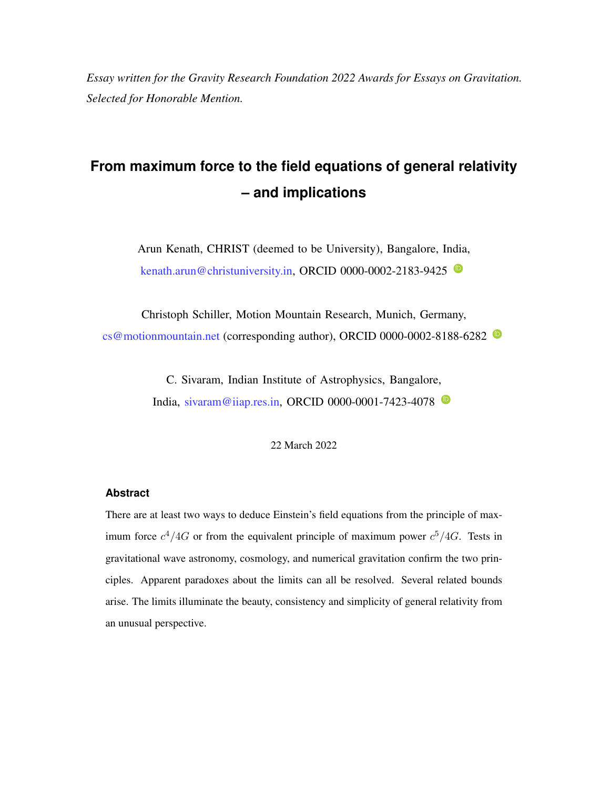*Essay written for the Gravity Research Foundation 2022 Awards for Essays on Gravitation. Selected for Honorable Mention.*

# **From maximum force to the field equations of general relativity – and implications**

Arun Kenath, CHRIST (deemed to be University), Bangalore, India, [kenath.arun@christuniversity.in,](mailto:kenath.arun@christuniversity.in) ORC[ID](https://orcid.org/0000-0002-2183-9425) 0000-0002-2183-9425

Christoph Schiller, Motion Mountain Research, Munich, Germany,  $cs@$  motionmountain.net (corresponding author), ORC[ID](https://orcid.org/0000-0002-8188-6282) 0000-0002-8188-6282  $\bullet$ 

> C. Sivaram, Indian Institute of Astrophysics, Bangalore, India, [sivaram@iiap.res.in,](mailto:sivaram@iiap.res.in) ORC[ID](https://orcid.org/0000-0001-7423-4078) 0000-0001-7423-4078 <sup>O</sup>

> > 22 March 2022

## **Abstract**

There are at least two ways to deduce Einstein's field equations from the principle of maximum force  $c^4/4G$  or from the equivalent principle of maximum power  $c^5/4G$ . Tests in gravitational wave astronomy, cosmology, and numerical gravitation confirm the two principles. Apparent paradoxes about the limits can all be resolved. Several related bounds arise. The limits illuminate the beauty, consistency and simplicity of general relativity from an unusual perspective.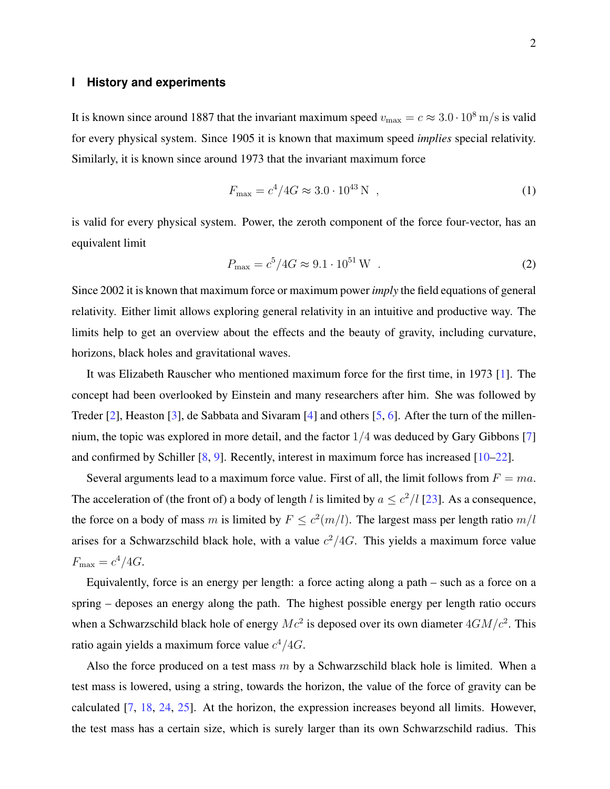### **I History and experiments**

It is known since around 1887 that the invariant maximum speed  $v_{\text{max}} = c \approx 3.0 \cdot 10^8 \text{ m/s}$  is valid for every physical system. Since 1905 it is known that maximum speed *implies* special relativity. Similarly, it is known since around 1973 that the invariant maximum force

$$
F_{\text{max}} = c^4 / 4G \approx 3.0 \cdot 10^{43} \text{ N} \tag{1}
$$

is valid for every physical system. Power, the zeroth component of the force four-vector, has an equivalent limit

$$
P_{\text{max}} = c^5 / 4G \approx 9.1 \cdot 10^{51} \,\text{W} \quad . \tag{2}
$$

Since 2002 it is known that maximum force or maximum power *imply* the field equations of general relativity. Either limit allows exploring general relativity in an intuitive and productive way. The limits help to get an overview about the effects and the beauty of gravity, including curvature, horizons, black holes and gravitational waves.

It was Elizabeth Rauscher who mentioned maximum force for the first time, in 1973 [\[1\]](#page-9-0). The concept had been overlooked by Einstein and many researchers after him. She was followed by Treder [\[2\]](#page-9-1), Heaston [\[3\]](#page-9-2), de Sabbata and Sivaram [\[4\]](#page-9-3) and others [\[5,](#page-9-4) [6\]](#page-9-5). After the turn of the millennium, the topic was explored in more detail, and the factor  $1/4$  was deduced by Gary Gibbons [\[7\]](#page-9-6) and confirmed by Schiller  $[8, 9]$  $[8, 9]$  $[8, 9]$ . Recently, interest in maximum force has increased  $[10-22]$  $[10-22]$ .

Several arguments lead to a maximum force value. First of all, the limit follows from  $F = ma$ . The acceleration of (the front of) a body of length l is limited by  $a \leq c^2/l$  [\[23\]](#page-9-11). As a consequence, the force on a body of mass m is limited by  $F \leq c^2(m/l)$ . The largest mass per length ratio  $m/l$ arises for a Schwarzschild black hole, with a value  $c^2/4G$ . This yields a maximum force value  $F_{\text{max}} = c^4 / 4G$ .

Equivalently, force is an energy per length: a force acting along a path – such as a force on a spring – deposes an energy along the path. The highest possible energy per length ratio occurs when a Schwarzschild black hole of energy  $Mc^2$  is deposed over its own diameter  $4GM/c^2$ . This ratio again yields a maximum force value  $c^4/4G$ .

Also the force produced on a test mass  $m$  by a Schwarzschild black hole is limited. When a test mass is lowered, using a string, towards the horizon, the value of the force of gravity can be calculated [\[7,](#page-9-6) [18,](#page-9-12) [24,](#page-9-13) [25\]](#page-10-0). At the horizon, the expression increases beyond all limits. However, the test mass has a certain size, which is surely larger than its own Schwarzschild radius. This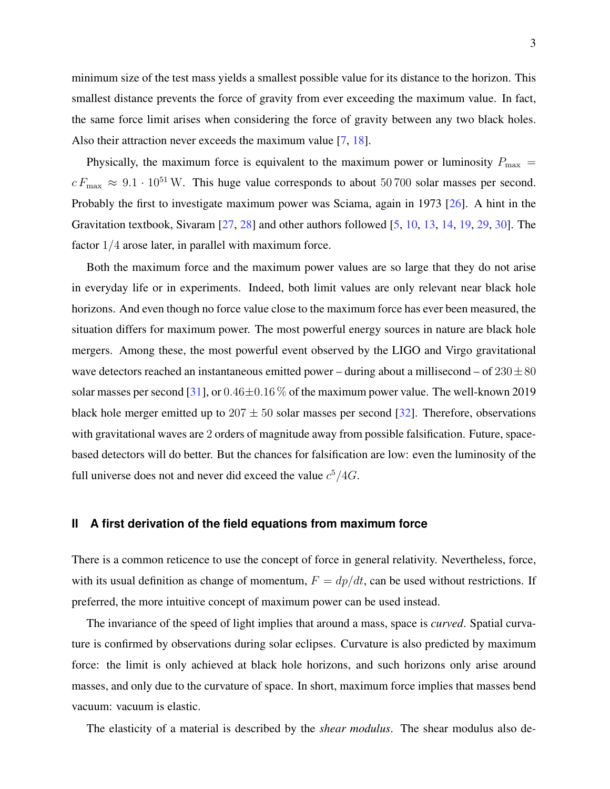minimum size of the test mass yields a smallest possible value for its distance to the horizon. This smallest distance prevents the force of gravity from ever exceeding the maximum value. In fact, the same force limit arises when considering the force of gravity between any two black holes. Also their attraction never exceeds the maximum value [\[7,](#page-9-6) [18\]](#page-9-12).

Physically, the maximum force is equivalent to the maximum power or luminosity  $P_{\text{max}} =$  $c F_{\text{max}} \approx 9.1 \cdot 10^{51}$  W. This huge value corresponds to about 50 700 solar masses per second. Probably the first to investigate maximum power was Sciama, again in 1973 [\[26\]](#page-10-1). A hint in the Gravitation textbook, Sivaram [\[27,](#page-10-2) [28\]](#page-10-3) and other authors followed [\[5,](#page-9-4) [10,](#page-9-9) [13,](#page-9-14) [14,](#page-9-15) [19,](#page-9-16) [29,](#page-10-4) [30\]](#page-10-5). The factor 1/4 arose later, in parallel with maximum force.

Both the maximum force and the maximum power values are so large that they do not arise in everyday life or in experiments. Indeed, both limit values are only relevant near black hole horizons. And even though no force value close to the maximum force has ever been measured, the situation differs for maximum power. The most powerful energy sources in nature are black hole mergers. Among these, the most powerful event observed by the LIGO and Virgo gravitational wave detectors reached an instantaneous emitted power – during about a millisecond – of  $230 \pm 80$ solar masses per second [\[31\]](#page-10-6), or  $0.46\pm0.16\%$  of the maximum power value. The well-known 2019 black hole merger emitted up to  $207 \pm 50$  solar masses per second [\[32\]](#page-10-7). Therefore, observations with gravitational waves are 2 orders of magnitude away from possible falsification. Future, spacebased detectors will do better. But the chances for falsification are low: even the luminosity of the full universe does not and never did exceed the value  $c^5/4G$ .

#### **II A first derivation of the field equations from maximum force**

There is a common reticence to use the concept of force in general relativity. Nevertheless, force, with its usual definition as change of momentum,  $F = dp/dt$ , can be used without restrictions. If preferred, the more intuitive concept of maximum power can be used instead.

The invariance of the speed of light implies that around a mass, space is *curved*. Spatial curvature is confirmed by observations during solar eclipses. Curvature is also predicted by maximum force: the limit is only achieved at black hole horizons, and such horizons only arise around masses, and only due to the curvature of space. In short, maximum force implies that masses bend vacuum: vacuum is elastic.

The elasticity of a material is described by the *shear modulus*. The shear modulus also de-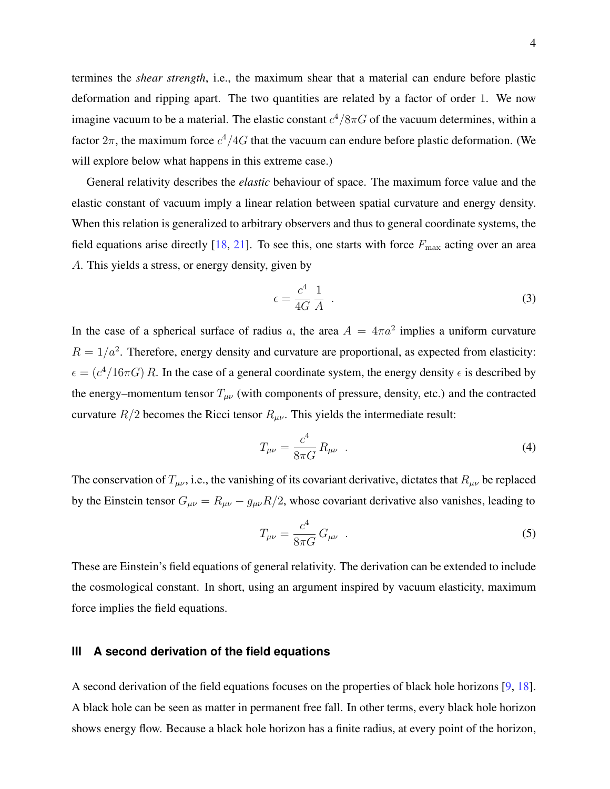termines the *shear strength*, i.e., the maximum shear that a material can endure before plastic deformation and ripping apart. The two quantities are related by a factor of order 1. We now imagine vacuum to be a material. The elastic constant  $c^4/8\pi G$  of the vacuum determines, within a factor  $2\pi$ , the maximum force  $c^4/4G$  that the vacuum can endure before plastic deformation. (We will explore below what happens in this extreme case.)

General relativity describes the *elastic* behaviour of space. The maximum force value and the elastic constant of vacuum imply a linear relation between spatial curvature and energy density. When this relation is generalized to arbitrary observers and thus to general coordinate systems, the field equations arise directly  $[18, 21]$  $[18, 21]$  $[18, 21]$ . To see this, one starts with force  $F_{\text{max}}$  acting over an area A. This yields a stress, or energy density, given by

$$
\epsilon = \frac{c^4}{4G} \frac{1}{A} \tag{3}
$$

In the case of a spherical surface of radius a, the area  $A = 4\pi a^2$  implies a uniform curvature  $R = 1/a^2$ . Therefore, energy density and curvature are proportional, as expected from elasticity:  $\epsilon = (c^4/16\pi G) R$ . In the case of a general coordinate system, the energy density  $\epsilon$  is described by the energy–momentum tensor  $T_{\mu\nu}$  (with components of pressure, density, etc.) and the contracted curvature  $R/2$  becomes the Ricci tensor  $R_{\mu\nu}$ . This yields the intermediate result:

$$
T_{\mu\nu} = \frac{c^4}{8\pi G} R_{\mu\nu} \quad . \tag{4}
$$

The conservation of  $T_{\mu\nu}$ , i.e., the vanishing of its covariant derivative, dictates that  $R_{\mu\nu}$  be replaced by the Einstein tensor  $G_{\mu\nu} = R_{\mu\nu} - g_{\mu\nu}R/2$ , whose covariant derivative also vanishes, leading to

$$
T_{\mu\nu} = \frac{c^4}{8\pi G} \, G_{\mu\nu} \quad . \tag{5}
$$

These are Einstein's field equations of general relativity. The derivation can be extended to include the cosmological constant. In short, using an argument inspired by vacuum elasticity, maximum force implies the field equations.

### **III A second derivation of the field equations**

A second derivation of the field equations focuses on the properties of black hole horizons [\[9,](#page-9-8) [18\]](#page-9-12). A black hole can be seen as matter in permanent free fall. In other terms, every black hole horizon shows energy flow. Because a black hole horizon has a finite radius, at every point of the horizon,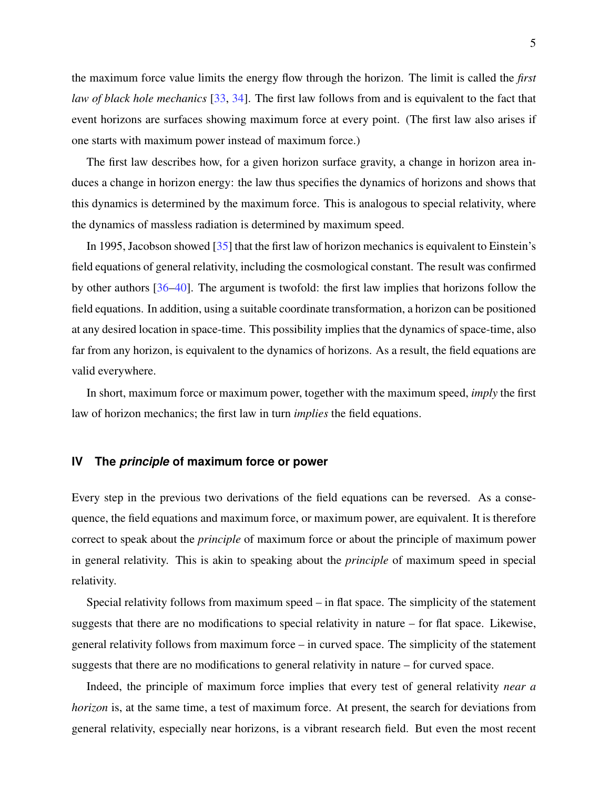the maximum force value limits the energy flow through the horizon. The limit is called the *first law of black hole mechanics* [\[33,](#page-10-8) [34\]](#page-10-9). The first law follows from and is equivalent to the fact that event horizons are surfaces showing maximum force at every point. (The first law also arises if one starts with maximum power instead of maximum force.)

The first law describes how, for a given horizon surface gravity, a change in horizon area induces a change in horizon energy: the law thus specifies the dynamics of horizons and shows that this dynamics is determined by the maximum force. This is analogous to special relativity, where the dynamics of massless radiation is determined by maximum speed.

In 1995, Jacobson showed [\[35\]](#page-10-10) that the first law of horizon mechanics is equivalent to Einstein's field equations of general relativity, including the cosmological constant. The result was confirmed by other authors [\[36–](#page-10-11)[40\]](#page-10-12). The argument is twofold: the first law implies that horizons follow the field equations. In addition, using a suitable coordinate transformation, a horizon can be positioned at any desired location in space-time. This possibility implies that the dynamics of space-time, also far from any horizon, is equivalent to the dynamics of horizons. As a result, the field equations are valid everywhere.

In short, maximum force or maximum power, together with the maximum speed, *imply* the first law of horizon mechanics; the first law in turn *implies* the field equations.

## **IV The** *principle* **of maximum force or power**

Every step in the previous two derivations of the field equations can be reversed. As a consequence, the field equations and maximum force, or maximum power, are equivalent. It is therefore correct to speak about the *principle* of maximum force or about the principle of maximum power in general relativity. This is akin to speaking about the *principle* of maximum speed in special relativity.

Special relativity follows from maximum speed – in flat space. The simplicity of the statement suggests that there are no modifications to special relativity in nature – for flat space. Likewise, general relativity follows from maximum force – in curved space. The simplicity of the statement suggests that there are no modifications to general relativity in nature – for curved space.

Indeed, the principle of maximum force implies that every test of general relativity *near a horizon* is, at the same time, a test of maximum force. At present, the search for deviations from general relativity, especially near horizons, is a vibrant research field. But even the most recent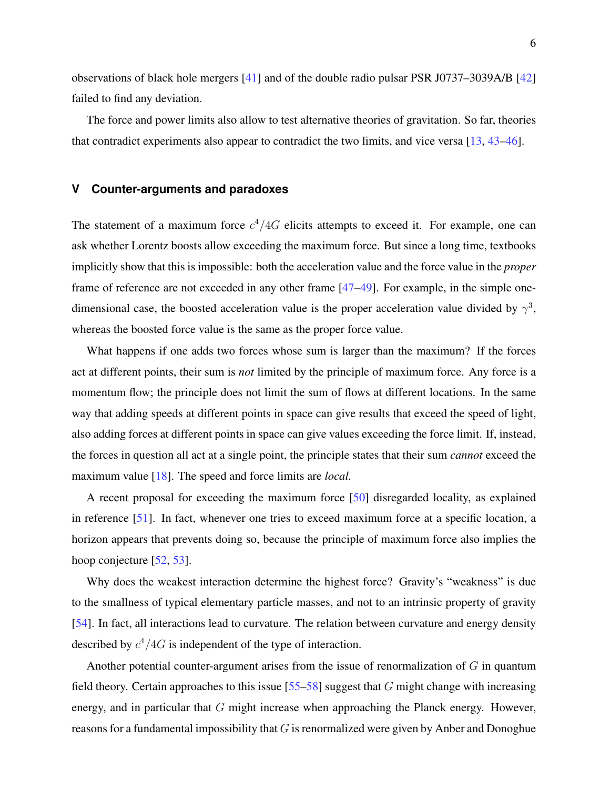observations of black hole mergers [\[41\]](#page-10-13) and of the double radio pulsar PSR J0737–3039A/B [\[42\]](#page-10-14) failed to find any deviation.

The force and power limits also allow to test alternative theories of gravitation. So far, theories that contradict experiments also appear to contradict the two limits, and vice versa [\[13,](#page-9-14) [43–](#page-10-15)[46\]](#page-10-16).

#### **V Counter-arguments and paradoxes**

The statement of a maximum force  $c^4/4G$  elicits attempts to exceed it. For example, one can ask whether Lorentz boosts allow exceeding the maximum force. But since a long time, textbooks implicitly show that this is impossible: both the acceleration value and the force value in the *proper* frame of reference are not exceeded in any other frame [\[47–](#page-10-17)[49\]](#page-10-18). For example, in the simple onedimensional case, the boosted acceleration value is the proper acceleration value divided by  $\gamma^3$ , whereas the boosted force value is the same as the proper force value.

What happens if one adds two forces whose sum is larger than the maximum? If the forces act at different points, their sum is *not* limited by the principle of maximum force. Any force is a momentum flow; the principle does not limit the sum of flows at different locations. In the same way that adding speeds at different points in space can give results that exceed the speed of light, also adding forces at different points in space can give values exceeding the force limit. If, instead, the forces in question all act at a single point, the principle states that their sum *cannot* exceed the maximum value [\[18\]](#page-9-12). The speed and force limits are *local.*

A recent proposal for exceeding the maximum force [\[50\]](#page-11-0) disregarded locality, as explained in reference [\[51\]](#page-11-1). In fact, whenever one tries to exceed maximum force at a specific location, a horizon appears that prevents doing so, because the principle of maximum force also implies the hoop conjecture [\[52,](#page-11-2) [53\]](#page-11-3).

Why does the weakest interaction determine the highest force? Gravity's "weakness" is due to the smallness of typical elementary particle masses, and not to an intrinsic property of gravity [\[54\]](#page-11-4). In fact, all interactions lead to curvature. The relation between curvature and energy density described by  $c^4/4G$  is independent of the type of interaction.

Another potential counter-argument arises from the issue of renormalization of  $G$  in quantum field theory. Certain approaches to this issue  $[55–58]$  $[55–58]$  suggest that G might change with increasing energy, and in particular that  $G$  might increase when approaching the Planck energy. However, reasons for a fundamental impossibility that  $G$  is renormalized were given by Anber and Donoghue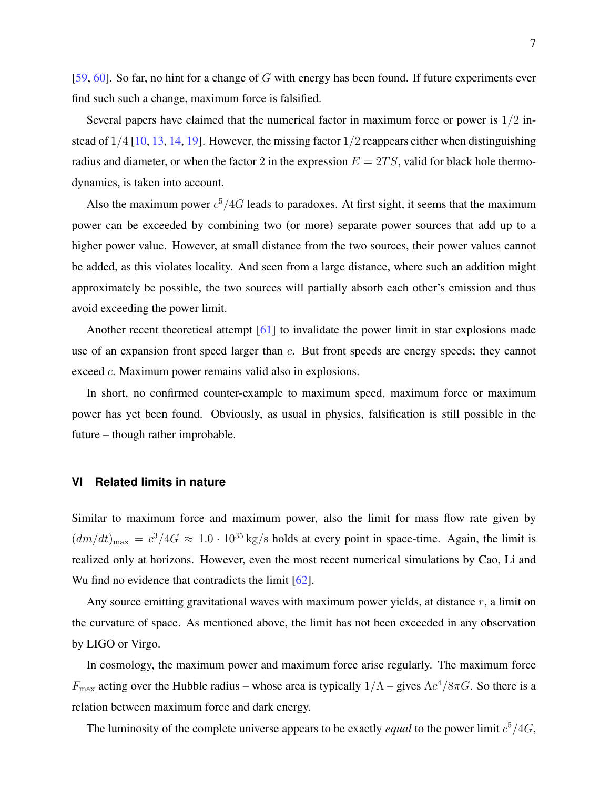[\[59,](#page-11-7) [60\]](#page-11-8). So far, no hint for a change of  $G$  with energy has been found. If future experiments ever find such such a change, maximum force is falsified.

Several papers have claimed that the numerical factor in maximum force or power is 1/2 instead of  $1/4$  [\[10,](#page-9-9) [13,](#page-9-14) [14,](#page-9-15) [19\]](#page-9-16). However, the missing factor  $1/2$  reappears either when distinguishing radius and diameter, or when the factor 2 in the expression  $E = 2TS$ , valid for black hole thermodynamics, is taken into account.

Also the maximum power  $c^5/4G$  leads to paradoxes. At first sight, it seems that the maximum power can be exceeded by combining two (or more) separate power sources that add up to a higher power value. However, at small distance from the two sources, their power values cannot be added, as this violates locality. And seen from a large distance, where such an addition might approximately be possible, the two sources will partially absorb each other's emission and thus avoid exceeding the power limit.

Another recent theoretical attempt [\[61\]](#page-11-9) to invalidate the power limit in star explosions made use of an expansion front speed larger than c. But front speeds are energy speeds; they cannot exceed c. Maximum power remains valid also in explosions.

In short, no confirmed counter-example to maximum speed, maximum force or maximum power has yet been found. Obviously, as usual in physics, falsification is still possible in the future – though rather improbable.

## **VI Related limits in nature**

Similar to maximum force and maximum power, also the limit for mass flow rate given by  $(dm/dt)_{\text{max}} = c^3/4G \approx 1.0 \cdot 10^{35} \text{ kg/s}$  holds at every point in space-time. Again, the limit is realized only at horizons. However, even the most recent numerical simulations by Cao, Li and Wu find no evidence that contradicts the limit [\[62\]](#page-11-10).

Any source emitting gravitational waves with maximum power yields, at distance  $r$ , a limit on the curvature of space. As mentioned above, the limit has not been exceeded in any observation by LIGO or Virgo.

In cosmology, the maximum power and maximum force arise regularly. The maximum force  $F_{\text{max}}$  acting over the Hubble radius – whose area is typically  $1/\Lambda$  – gives  $\Lambda c^4/8\pi G$ . So there is a relation between maximum force and dark energy.

The luminosity of the complete universe appears to be exactly *equal* to the power limit  $c^5/4G$ ,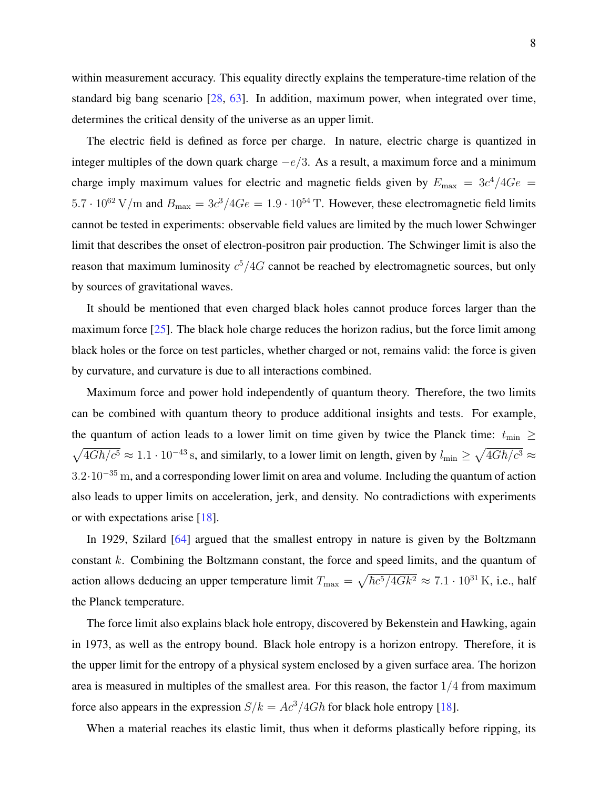The electric field is defined as force per charge. In nature, electric charge is quantized in integer multiples of the down quark charge  $-e/3$ . As a result, a maximum force and a minimum charge imply maximum values for electric and magnetic fields given by  $E_{\text{max}} = 3c^4/4Ge$  $5.7 \cdot 10^{62}$  V/m and  $B_{\text{max}} = 3c^3/4Ge = 1.9 \cdot 10^{54}$  T. However, these electromagnetic field limits cannot be tested in experiments: observable field values are limited by the much lower Schwinger limit that describes the onset of electron-positron pair production. The Schwinger limit is also the reason that maximum luminosity  $c^5/4G$  cannot be reached by electromagnetic sources, but only by sources of gravitational waves.

It should be mentioned that even charged black holes cannot produce forces larger than the maximum force  $[25]$ . The black hole charge reduces the horizon radius, but the force limit among black holes or the force on test particles, whether charged or not, remains valid: the force is given by curvature, and curvature is due to all interactions combined.

Maximum force and power hold independently of quantum theory. Therefore, the two limits can be combined with quantum theory to produce additional insights and tests. For example, the quantum of action leads to a lower limit on time given by twice the Planck time:  $t_{\text{min}} \ge$  $\sqrt{4G\hbar/c^5} \approx 1.1 \cdot 10^{-43}$  s, and similarly, to a lower limit on length, given by  $l_{\min} \ge \sqrt{4G\hbar/c^3} \approx$ 3.2·10<sup>−</sup><sup>35</sup> m, and a corresponding lower limit on area and volume. Including the quantum of action also leads to upper limits on acceleration, jerk, and density. No contradictions with experiments or with expectations arise [\[18\]](#page-9-12).

In 1929, Szilard [\[64\]](#page-11-12) argued that the smallest entropy in nature is given by the Boltzmann constant k. Combining the Boltzmann constant, the force and speed limits, and the quantum of action allows deducing an upper temperature limit  $T_{\text{max}} = \sqrt{\hbar c^5/4Gk^2} \approx 7.1 \cdot 10^{31} \text{ K}$ , i.e., half the Planck temperature.

The force limit also explains black hole entropy, discovered by Bekenstein and Hawking, again in 1973, as well as the entropy bound. Black hole entropy is a horizon entropy. Therefore, it is the upper limit for the entropy of a physical system enclosed by a given surface area. The horizon area is measured in multiples of the smallest area. For this reason, the factor  $1/4$  from maximum force also appears in the expression  $S/k = Ac^3/4G\hbar$  for black hole entropy [\[18\]](#page-9-12).

When a material reaches its elastic limit, thus when it deforms plastically before ripping, its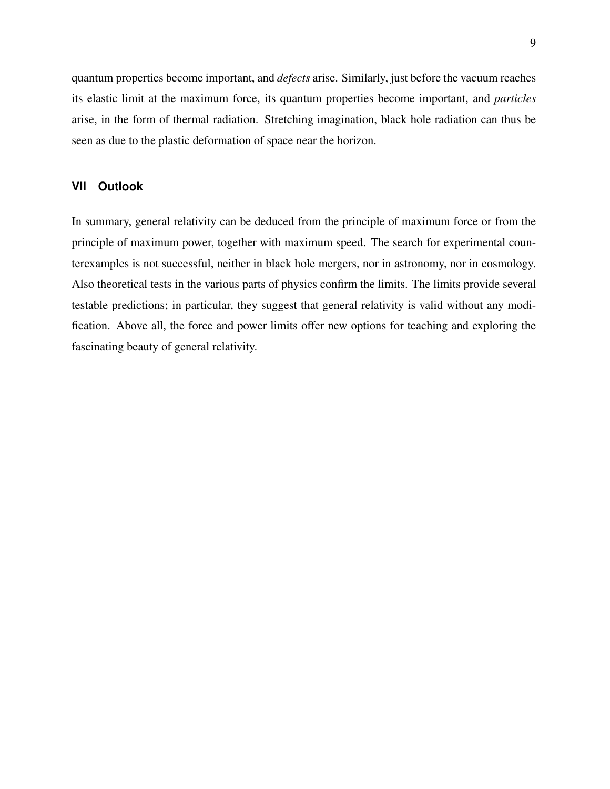quantum properties become important, and *defects* arise. Similarly, just before the vacuum reaches its elastic limit at the maximum force, its quantum properties become important, and *particles* arise, in the form of thermal radiation. Stretching imagination, black hole radiation can thus be seen as due to the plastic deformation of space near the horizon.

# **VII Outlook**

In summary, general relativity can be deduced from the principle of maximum force or from the principle of maximum power, together with maximum speed. The search for experimental counterexamples is not successful, neither in black hole mergers, nor in astronomy, nor in cosmology. Also theoretical tests in the various parts of physics confirm the limits. The limits provide several testable predictions; in particular, they suggest that general relativity is valid without any modification. Above all, the force and power limits offer new options for teaching and exploring the fascinating beauty of general relativity.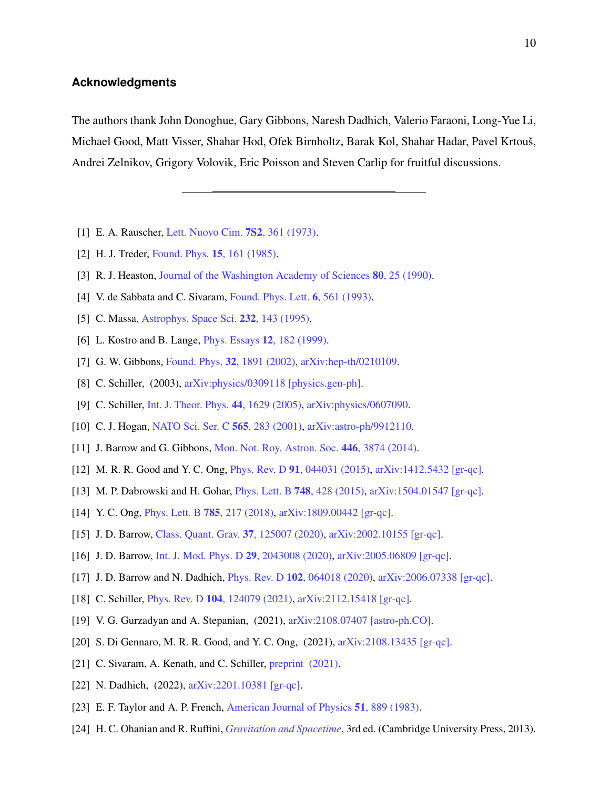# **Acknowledgments**

The authors thank John Donoghue, Gary Gibbons, Naresh Dadhich, Valerio Faraoni, Long-Yue Li, Michael Good, Matt Visser, Shahar Hod, Ofek Birnholtz, Barak Kol, Shahar Hadar, Pavel Krtouš, Andrei Zelnikov, Grigory Volovik, Eric Poisson and Steven Carlip for fruitful discussions.

- <span id="page-9-1"></span><span id="page-9-0"></span>[1] E. A. Rauscher, [Lett. Nuovo Cim.](https://doi.org/10.1007/BF02735134) **7S2**, 361 (1973).
- <span id="page-9-2"></span>[2] H. J. Treder, [Found. Phys.](https://doi.org/10.1007/BF00735287) **15**, 161 (1985).
- <span id="page-9-3"></span>[3] R. J. Heaston, [Journal of the Washington Academy of Sciences](http://www.jstor.org/stable/24530850) **80**, 25 (1990).
- <span id="page-9-4"></span>[4] V. de Sabbata and C. Sivaram, [Found. Phys. Lett.](https://doi.org/https://doi.org/10.1007/BF00662806) **6**, 561 (1993).
- <span id="page-9-5"></span>[5] C. Massa, [Astrophys. Space Sci.](https://doi.org/https://doi.org/10.1007/BF00627550) 232, 143 (1995).
- <span id="page-9-6"></span>[6] L. Kostro and B. Lange, [Phys. Essays](https://doi.org/10.4006/1.3025362) 12, 182 (1999).
- <span id="page-9-7"></span>[7] G. W. Gibbons, Found. Phys. 32[, 1891 \(2002\),](https://doi.org/10.1023/A:1022370717626) [arXiv:hep-th/0210109.](https://arxiv.org/abs/hep-th/0210109)
- <span id="page-9-8"></span>[8] C. Schiller, (2003), [arXiv:physics/0309118 \[physics.gen-ph\].](https://arxiv.org/abs/physics/0309118 [physics.gen-ph])
- <span id="page-9-9"></span>[9] C. Schiller, [Int. J. Theor. Phys.](https://doi.org/https://doi.org/10.1007/s10773-005-4835-2) 44, 1629 (2005), arXiv: physics/0607090.
- [10] C. J. Hogan, [NATO Sci. Ser. C](https://doi.org/10.1007/978-94-010-0540-1_13) 565, 283 (2001), [arXiv:astro-ph/9912110.](https://arxiv.org/abs/astro-ph/9912110)
- [11] J. Barrow and G. Gibbons, [Mon. Not. Roy. Astron. Soc.](https://doi.org/https://doi.org/10.1093/mnras/stu2378) 446, 3874 (2014).
- <span id="page-9-14"></span>[12] M. R. R. Good and Y. C. Ong, Phys. Rev. D 91[, 044031 \(2015\),](https://doi.org/10.1103/PhysRevD.91.044031) [arXiv:1412.5432 \[gr-qc\].](https://arxiv.org/abs/1412.5432)
- <span id="page-9-15"></span>[13] M. P. Dabrowski and H. Gohar, [Phys. Lett. B](https://doi.org/10.1016/j.physletb.2015.07.047) 748, 428 (2015), [arXiv:1504.01547 \[gr-qc\].](https://arxiv.org/abs/1504.01547)
- [14] Y. C. Ong, [Phys. Lett. B](https://doi.org/10.1016/j.physletb.2018.08.065) 785, 217 (2018), [arXiv:1809.00442 \[gr-qc\].](https://arxiv.org/abs/1809.00442)
- [15] J. D. Barrow, [Class. Quant. Grav.](https://doi.org/10.1088/1361-6382/ab8437) 37, 125007 (2020), [arXiv:2002.10155 \[gr-qc\].](https://arxiv.org/abs/2002.10155)
- [16] J. D. Barrow, [Int. J. Mod. Phys. D](https://doi.org/10.1142/S0218271820430087) 29, 2043008 (2020), [arXiv:2005.06809 \[gr-qc\].](https://arxiv.org/abs/2005.06809)
- <span id="page-9-12"></span>[17] J. D. Barrow and N. Dadhich, Phys. Rev. D 102[, 064018 \(2020\),](https://doi.org/10.1103/PhysRevD.102.064018) [arXiv:2006.07338 \[gr-qc\].](https://arxiv.org/abs/2006.07338)
- <span id="page-9-16"></span>[18] C. Schiller, Phys. Rev. D 104[, 124079 \(2021\),](https://doi.org/10.1103/PhysRevD.104.124079) [arXiv:2112.15418 \[gr-qc\].](https://arxiv.org/abs/2112.15418)
- [19] V. G. Gurzadyan and A. Stepanian, (2021), [arXiv:2108.07407 \[astro-ph.CO\].](https://arxiv.org/abs/2108.07407)
- <span id="page-9-17"></span>[20] S. Di Gennaro, M. R. R. Good, and Y. C. Ong, (2021), [arXiv:2108.13435 \[gr-qc\].](https://arxiv.org/abs/2108.13435)
- <span id="page-9-10"></span>[21] C. Sivaram, A. Kenath, and C. Schiller, *preprint* (2021).
- <span id="page-9-11"></span>[22] N. Dadhich, (2022),  $arXiv:2201.10381$  [gr-qc].
- <span id="page-9-13"></span>[23] E. F. Taylor and A. P. French, [American Journal of Physics](https://doi.org/10.1119/1.13372) 51, 889 (1983).
- [24] H. C. Ohanian and R. Ruffini, *[Gravitation and Spacetime](https://doi.org/10.1017/CBO9781139003391)*, 3rd ed. (Cambridge University Press, 2013).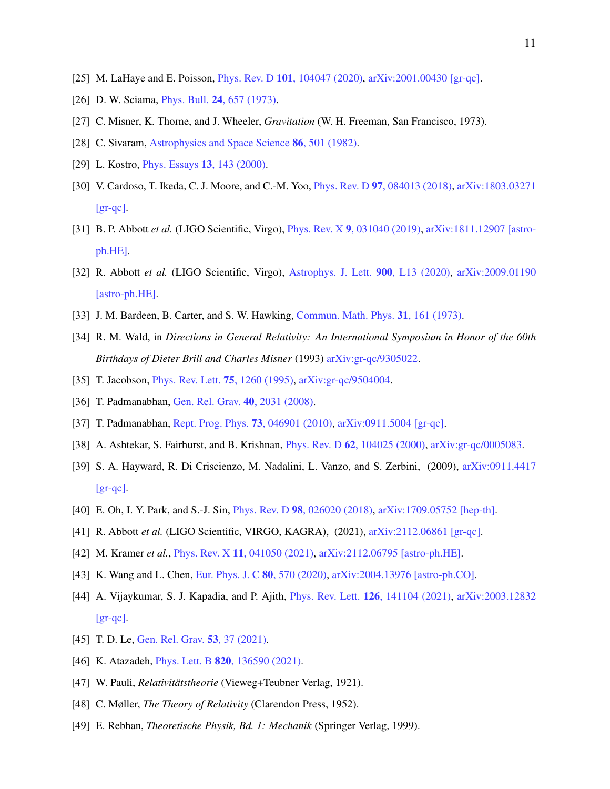- <span id="page-10-1"></span><span id="page-10-0"></span>[25] M. LaHaye and E. Poisson, Phys. Rev. D 101[, 104047 \(2020\),](https://doi.org/10.1103/PhysRevD.101.104047) [arXiv:2001.00430 \[gr-qc\].](https://arxiv.org/abs/2001.00430)
- <span id="page-10-2"></span>[26] D. W. Sciama, *Phys. Bull.* **24**[, 657 \(1973\).](https://doi.org/https://doi.org/10.1088/0031-9112/24/11/016)
- <span id="page-10-3"></span>[27] C. Misner, K. Thorne, and J. Wheeler, *Gravitation* (W. H. Freeman, San Francisco, 1973).
- <span id="page-10-4"></span>[28] C. Sivaram, [Astrophysics and Space Science](https://doi.org/10.1007/BF00683354) 86, 501 (1982).
- <span id="page-10-5"></span>[29] L. Kostro, *[Phys. Essays](https://doi.org/10.4006/1.3025423)* **13**, 143 (2000).
- [30] V. Cardoso, T. Ikeda, C. J. Moore, and C.-M. Yoo, Phys. Rev. D 97[, 084013 \(2018\),](https://doi.org/10.1103/PhysRevD.97.084013) [arXiv:1803.03271](https://arxiv.org/abs/1803.03271)  $\left[$ gr-qc $\right]$ .
- <span id="page-10-6"></span>[31] B. P. Abbott *et al.* (LIGO Scientific, Virgo), Phys. Rev. X 9[, 031040 \(2019\),](https://doi.org/10.1103/PhysRevX.9.031040) [arXiv:1811.12907 \[astro](https://arxiv.org/abs/1811.12907)[ph.HE\].](https://arxiv.org/abs/1811.12907)
- <span id="page-10-7"></span>[32] R. Abbott *et al.* (LIGO Scientific, Virgo), [Astrophys. J. Lett.](https://doi.org/10.3847/2041-8213/aba493) **900**, L13 (2020), [arXiv:2009.01190](https://arxiv.org/abs/2009.01190) [\[astro-ph.HE\].](https://arxiv.org/abs/2009.01190)
- <span id="page-10-9"></span><span id="page-10-8"></span>[33] J. M. Bardeen, B. Carter, and S. W. Hawking, [Commun. Math. Phys.](https://doi.org/10.1007/BF01645742) 31, 161 (1973).
- [34] R. M. Wald, in *Directions in General Relativity: An International Symposium in Honor of the 60th Birthdays of Dieter Brill and Charles Misner* (1993) [arXiv:gr-qc/9305022.](https://arxiv.org/abs/gr-qc/9305022)
- <span id="page-10-11"></span><span id="page-10-10"></span>[35] T. Jacobson, *[Phys. Rev. Lett.](https://doi.org/10.1103/PhysRevLett.75.1260)* **75**, 1260 (1995), [arXiv:gr-qc/9504004.](https://arxiv.org/abs/gr-qc/9504004)
- [36] T. Padmanabhan, [Gen. Rel. Grav.](https://doi.org/10.1142/S0218271808014114) 40, 2031 (2008).
- [37] T. Padmanabhan, [Rept. Prog. Phys.](https://doi.org/10.1088/0034-4885/73/4/046901) 73, 046901 (2010), [arXiv:0911.5004 \[gr-qc\].](https://arxiv.org/abs/0911.5004)
- [38] A. Ashtekar, S. Fairhurst, and B. Krishnan, Phys. Rev. D 62[, 104025 \(2000\),](https://doi.org/10.1103/PhysRevD.62.104025) [arXiv:gr-qc/0005083.](https://arxiv.org/abs/gr-qc/0005083)
- [39] S. A. Hayward, R. Di Criscienzo, M. Nadalini, L. Vanzo, and S. Zerbini, (2009), [arXiv:0911.4417](https://arxiv.org/abs/0911.4417)  $\left[$  gr-qc $\right]$ .
- <span id="page-10-13"></span><span id="page-10-12"></span>[40] E. Oh, I. Y. Park, and S.-J. Sin, Phys. Rev. D 98[, 026020 \(2018\),](https://doi.org/10.1103/PhysRevD.98.026020) [arXiv:1709.05752 \[hep-th\].](https://arxiv.org/abs/1709.05752)
- <span id="page-10-14"></span>[41] R. Abbott *et al.* (LIGO Scientific, VIRGO, KAGRA), (2021), [arXiv:2112.06861 \[gr-qc\].](https://arxiv.org/abs/2112.06861)
- <span id="page-10-15"></span>[42] M. Kramer *et al.*, Phys. Rev. X 11[, 041050 \(2021\),](https://doi.org/10.1103/PhysRevX.11.041050) [arXiv:2112.06795 \[astro-ph.HE\].](https://arxiv.org/abs/2112.06795)
- [43] K. Wang and L. Chen, [Eur. Phys. J. C](https://doi.org/10.1140/epjc/s10052-020-8137-x) 80, 570 (2020), [arXiv:2004.13976 \[astro-ph.CO\].](https://arxiv.org/abs/2004.13976)
- [44] A. Vijaykumar, S. J. Kapadia, and P. Ajith, Phys. Rev. Lett. 126[, 141104 \(2021\),](https://doi.org/10.1103/PhysRevLett.126.141104) [arXiv:2003.12832](https://arxiv.org/abs/2003.12832)  $\left[$ gr-qc $\right]$ .
- <span id="page-10-16"></span>[45] T. D. Le, [Gen. Rel. Grav.](https://doi.org/10.1007/s10714-021-02803-5) **53**, 37 (2021).
- <span id="page-10-17"></span>[46] K. Atazadeh, *Phys. Lett. B* **820**[, 136590 \(2021\).](https://doi.org/10.1016/j.physletb.2021.136590)
- [47] W. Pauli, *Relativitätstheorie* (Vieweg+Teubner Verlag, 1921).
- <span id="page-10-18"></span>[48] C. Møller, *The Theory of Relativity* (Clarendon Press, 1952).
- [49] E. Rebhan, *Theoretische Physik, Bd. 1: Mechanik* (Springer Verlag, 1999).